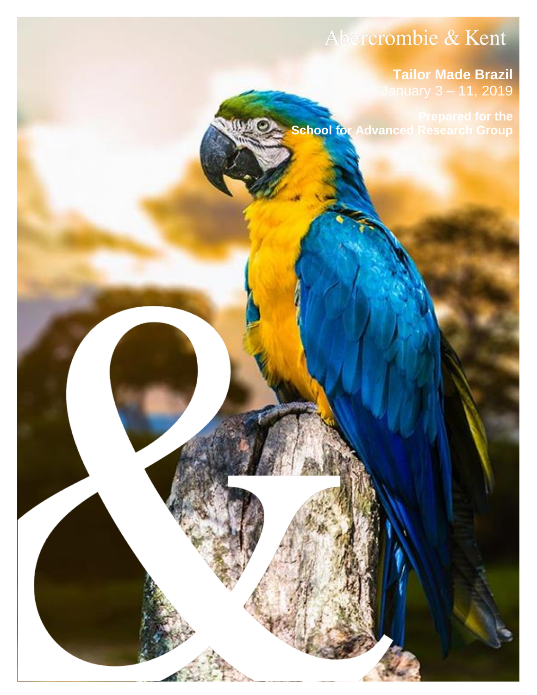# Abercrombie & Kent

# **Tailor Made Brazil** January 3 – 11, 2019

**School for Advanced Research Group** 

Abercrombie & Kent | 8008 233 7308 USA129108 | Page 19308 | Page 1930 | Page 1930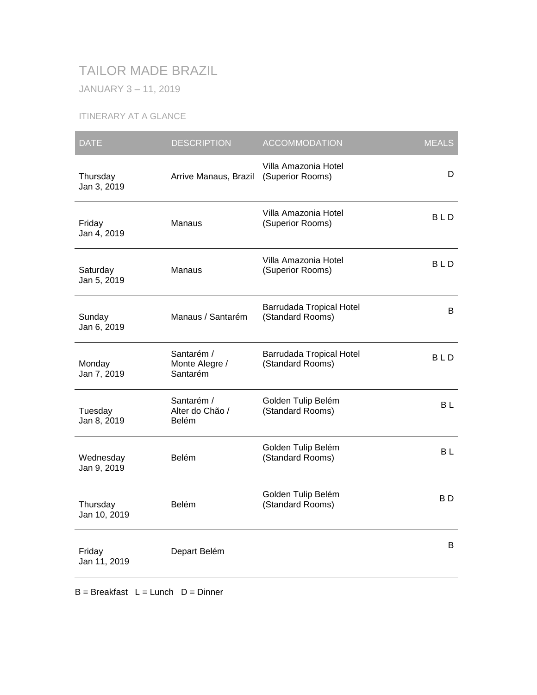# TAILOR MADE BRAZIL

JANUARY 3 – 11, 2019

# ITINERARY AT A GLANCE

| <b>DATE</b>              | <b>DESCRIPTION</b>                       | <b>ACCOMMODATION</b>                         | <b>MEALS</b> |
|--------------------------|------------------------------------------|----------------------------------------------|--------------|
| Thursday<br>Jan 3, 2019  | Arrive Manaus, Brazil                    | Villa Amazonia Hotel<br>(Superior Rooms)     | D            |
| Friday<br>Jan 4, 2019    | Manaus                                   | Villa Amazonia Hotel<br>(Superior Rooms)     | BLD          |
| Saturday<br>Jan 5, 2019  | Manaus                                   | Villa Amazonia Hotel<br>(Superior Rooms)     | <b>BLD</b>   |
| Sunday<br>Jan 6, 2019    | Manaus / Santarém                        | Barrudada Tropical Hotel<br>(Standard Rooms) | B            |
| Monday<br>Jan 7, 2019    | Santarém /<br>Monte Alegre /<br>Santarém | Barrudada Tropical Hotel<br>(Standard Rooms) | <b>BLD</b>   |
| Tuesday<br>Jan 8, 2019   | Santarém /<br>Alter do Chão /<br>Belém   | Golden Tulip Belém<br>(Standard Rooms)       | BL           |
| Wednesday<br>Jan 9, 2019 | Belém                                    | Golden Tulip Belém<br>(Standard Rooms)       | <b>BL</b>    |
| Thursday<br>Jan 10, 2019 | Belém                                    | Golden Tulip Belém<br>(Standard Rooms)       | B D          |
| Friday<br>Jan 11, 2019   | Depart Belém                             |                                              | B            |

 $B = B$ reakfast  $L = L$ unch  $D = D$ inner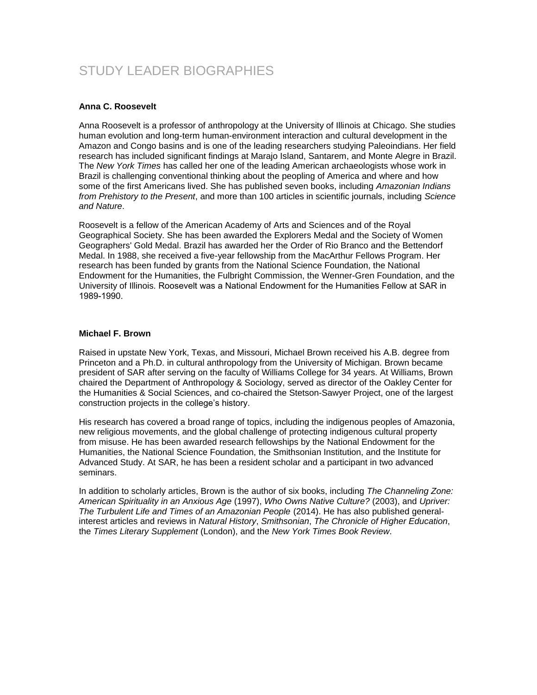# STUDY LEADER BIOGRAPHIES

#### **Anna C. Roosevelt**

Anna Roosevelt is a professor of anthropology at the University of Illinois at Chicago. She studies human evolution and long-term human-environment interaction and cultural development in the Amazon and Congo basins and is one of the leading researchers studying Paleoindians. Her field research has included significant findings at Marajo Island, Santarem, and Monte Alegre in Brazil. The *New York Times* has called her one of the leading American archaeologists whose work in Brazil is challenging conventional thinking about the peopling of America and where and how some of the first Americans lived. She has published seven books, including *Amazonian Indians from Prehistory to the Present*, and more than 100 articles in scientific journals, including *Science and Nature*.

Roosevelt is a fellow of the American Academy of Arts and Sciences and of the Royal Geographical Society. She has been awarded the Explorers Medal and the Society of Women Geographers' Gold Medal. Brazil has awarded her the Order of Rio Branco and the Bettendorf Medal. In 1988, she received a five-year fellowship from the MacArthur Fellows Program. Her research has been funded by grants from the National Science Foundation, the National Endowment for the Humanities, the Fulbright Commission, the Wenner-Gren Foundation, and the University of Illinois. Roosevelt was a National Endowment for the Humanities Fellow at SAR in 1989-1990.

#### **Michael F. Brown**

Raised in upstate New York, Texas, and Missouri, Michael Brown received his A.B. degree from Princeton and a Ph.D. in cultural anthropology from the University of Michigan. Brown became president of SAR after serving on the faculty of Williams College for 34 years. At Williams, Brown chaired the Department of Anthropology & Sociology, served as director of the Oakley Center for the Humanities & Social Sciences, and co-chaired the Stetson-Sawyer Project, one of the largest construction projects in the college's history.

His research has covered a broad range of topics, including the indigenous peoples of Amazonia, new religious movements, and the global challenge of protecting indigenous cultural property from misuse. He has been awarded research fellowships by the National Endowment for the Humanities, the National Science Foundation, the Smithsonian Institution, and the Institute for Advanced Study. At SAR, he has been a resident scholar and a participant in two advanced seminars.

In addition to scholarly articles, Brown is the author of six books, including *The Channeling Zone: American Spirituality in an Anxious Age* (1997), *Who Owns Native Culture?* (2003), and *Upriver: The Turbulent Life and Times of an Amazonian People* (2014). He has also published generalinterest articles and reviews in *Natural History*, *Smithsonian*, *The Chronicle of Higher Education*, the *Times Literary Supplement* (London), and the *New York Times Book Review*.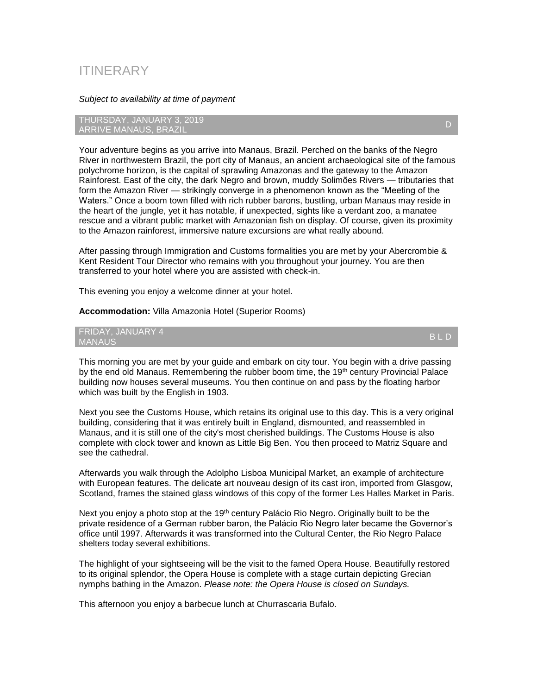# ITINERARY

#### *Subject to availability at time of payment*

THURSDAY, JANUARY 3, 2019 ARRIVE MANAUS, BRAZIL

Your adventure begins as you arrive into Manaus, Brazil. Perched on the banks of the Negro River in northwestern Brazil, the port city of Manaus, an ancient archaeological site of the famous polychrome horizon, is the capital of sprawling Amazonas and the gateway to the Amazon Rainforest. East of the city, the dark Negro and brown, muddy Solimões Rivers — tributaries that form the Amazon River — strikingly converge in a phenomenon known as the "Meeting of the Waters." Once a boom town filled with rich rubber barons, bustling, urban Manaus may reside in the heart of the jungle, yet it has notable, if unexpected, sights like a verdant zoo, a manatee rescue and a vibrant public market with Amazonian fish on display. Of course, given its proximity to the Amazon rainforest, immersive nature excursions are what really abound.

After passing through Immigration and Customs formalities you are met by your Abercrombie & Kent Resident Tour Director who remains with you throughout your journey. You are then transferred to your hotel where you are assisted with check-in.

This evening you enjoy a welcome dinner at your hotel.

**Accommodation:** Villa Amazonia Hotel (Superior Rooms)

FRIDAY, JANUARY 4 MANAUS B L D

This morning you are met by your guide and embark on city tour. You begin with a drive passing by the end old Manaus. Remembering the rubber boom time, the 19<sup>th</sup> century Provincial Palace building now houses several museums. You then continue on and pass by the floating harbor which was built by the English in 1903.

Next you see the Customs House, which retains its original use to this day. This is a very original building, considering that it was entirely built in England, dismounted, and reassembled in Manaus, and it is still one of the city's most cherished buildings. The Customs House is also complete with clock tower and known as Little Big Ben. You then proceed to Matriz Square and see the cathedral.

Afterwards you walk through the Adolpho Lisboa Municipal Market, an example of architecture with European features. The delicate art nouveau design of its cast iron, imported from Glasgow, Scotland, frames the stained glass windows of this copy of the former Les Halles Market in Paris.

Next you enjoy a photo stop at the 19<sup>th</sup> century Palácio Rio Negro. Originally built to be the private residence of a German rubber baron, the Palácio Rio Negro later became the Governor's office until 1997. Afterwards it was transformed into the Cultural Center, the Rio Negro Palace shelters today several exhibitions.

The highlight of your sightseeing will be the visit to the famed Opera House. Beautifully restored to its original splendor, the Opera House is complete with a stage curtain depicting Grecian nymphs bathing in the Amazon. *Please note: the Opera House is closed on Sundays.* 

This afternoon you enjoy a barbecue lunch at Churrascaria Bufalo.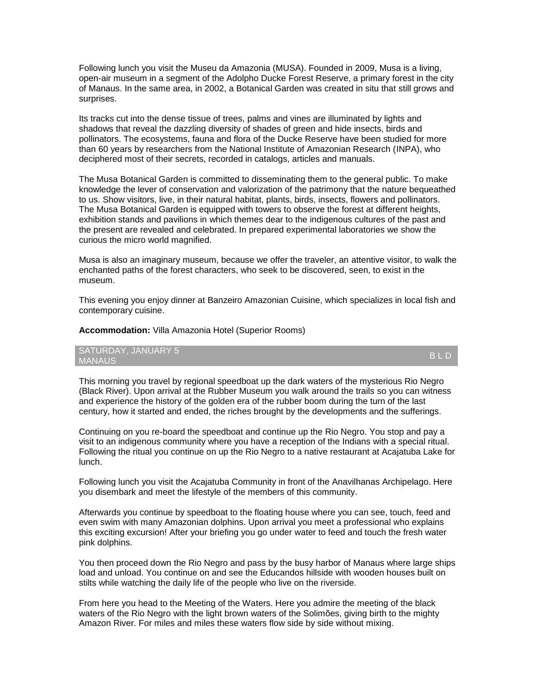Following lunch you visit the Museu da Amazonia (MUSA). Founded in 2009, Musa is a living, open-air museum in a segment of the Adolpho Ducke Forest Reserve, a primary forest in the city of Manaus. In the same area, in 2002, a Botanical Garden was created in situ that still grows and surprises.

Its tracks cut into the dense tissue of trees, palms and vines are illuminated by lights and shadows that reveal the dazzling diversity of shades of green and hide insects, birds and pollinators. The ecosystems, fauna and flora of the Ducke Reserve have been studied for more than 60 years by researchers from the National Institute of Amazonian Research (INPA), who deciphered most of their secrets, recorded in catalogs, articles and manuals.

The Musa Botanical Garden is committed to disseminating them to the general public. To make knowledge the lever of conservation and valorization of the patrimony that the nature bequeathed to us. Show visitors, live, in their natural habitat, plants, birds, insects, flowers and pollinators. The Musa Botanical Garden is equipped with towers to observe the forest at different heights, exhibition stands and pavilions in which themes dear to the indigenous cultures of the past and the present are revealed and celebrated. In prepared experimental laboratories we show the curious the micro world magnified.

Musa is also an imaginary museum, because we offer the traveler, an attentive visitor, to walk the enchanted paths of the forest characters, who seek to be discovered, seen, to exist in the museum.

This evening you enjoy dinner at Banzeiro Amazonian Cuisine, which specializes in local fish and contemporary cuisine.

**Accommodation:** Villa Amazonia Hotel (Superior Rooms)

SATURDAY, JANUARY 5<br>MANAUS MANAUS B L D

This morning you travel by regional speedboat up the dark waters of the mysterious Rio Negro (Black River). Upon arrival at the Rubber Museum you walk around the trails so you can witness and experience the history of the golden era of the rubber boom during the turn of the last century, how it started and ended, the riches brought by the developments and the sufferings.

Continuing on you re-board the speedboat and continue up the Rio Negro. You stop and pay a visit to an indigenous community where you have a reception of the Indians with a special ritual. Following the ritual you continue on up the Rio Negro to a native restaurant at Acajatuba Lake for lunch.

Following lunch you visit the Acajatuba Community in front of the Anavilhanas Archipelago. Here you disembark and meet the lifestyle of the members of this community.

Afterwards you continue by speedboat to the floating house where you can see, touch, feed and even swim with many Amazonian dolphins. Upon arrival you meet a professional who explains this exciting excursion! After your briefing you go under water to feed and touch the fresh water pink dolphins.

You then proceed down the Rio Negro and pass by the busy harbor of Manaus where large ships load and unload. You continue on and see the Educandos hillside with wooden houses built on stilts while watching the daily life of the people who live on the riverside.

From here you head to the Meeting of the Waters. Here you admire the meeting of the black waters of the Rio Negro with the light brown waters of the Solimões, giving birth to the mighty Amazon River. For miles and miles these waters flow side by side without mixing.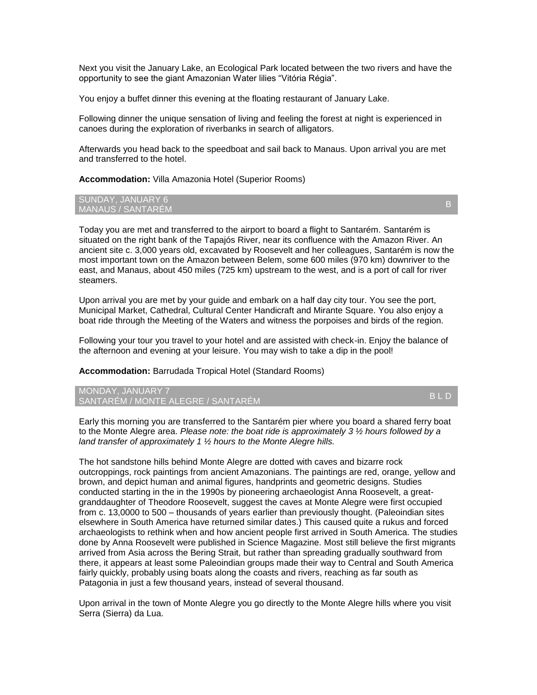Next you visit the January Lake, an Ecological Park located between the two rivers and have the opportunity to see the giant Amazonian Water lilies "Vitória Régia".

You enjoy a buffet dinner this evening at the floating restaurant of January Lake.

Following dinner the unique sensation of living and feeling the forest at night is experienced in canoes during the exploration of riverbanks in search of alligators.

Afterwards you head back to the speedboat and sail back to Manaus. Upon arrival you are met and transferred to the hotel.

**Accommodation:** Villa Amazonia Hotel (Superior Rooms)

#### SUNDAY, JANUARY 6 SUNDAT, JANUART 6<br>MANAUS / SANTARÉM BERTING BERTING BERTING BERTING BERTING BERTING BERTING BERTING BERTING BE

Today you are met and transferred to the airport to board a flight to Santarém. Santarém is situated on the right bank of the Tapajós River, near its confluence with the Amazon River. An ancient site c. 3,000 years old, excavated by Roosevelt and her colleagues, Santarém is now the most important town on the Amazon between Belem, some 600 miles (970 km) downriver to the east, and Manaus, about 450 miles (725 km) upstream to the west, and is a port of call for river steamers.

Upon arrival you are met by your guide and embark on a half day city tour. You see the port, Municipal Market, Cathedral, Cultural Center Handicraft and Mirante Square. You also enjoy a boat ride through the Meeting of the Waters and witness the porpoises and birds of the region.

Following your tour you travel to your hotel and are assisted with check-in. Enjoy the balance of the afternoon and evening at your leisure. You may wish to take a dip in the pool!

**Accommodation:** Barrudada Tropical Hotel (Standard Rooms)

MONDAY, JANUARY 7 MONDAT, JANOART *I*<br>SANTARÉM / MONTE ALEGRE / SANTARÉM B L DE LE DE LE DE LE DE LE DE LE DE LE DE LE DE LE DE LE D

Early this morning you are transferred to the Santarém pier where you board a shared ferry boat to the Monte Alegre area. *Please note: the boat ride is approximately 3 ½ hours followed by a land transfer of approximately 1 ½ hours to the Monte Alegre hills.* 

The hot sandstone hills behind Monte Alegre are dotted with caves and bizarre rock outcroppings, rock paintings from ancient Amazonians. The paintings are red, orange, yellow and brown, and depict human and animal figures, handprints and geometric designs. Studies conducted starting in the in the 1990s by pioneering archaeologist Anna Roosevelt, a greatgranddaughter of Theodore Roosevelt, suggest the caves at Monte Alegre were first occupied from c. 13,0000 to 500 – thousands of years earlier than previously thought. (Paleoindian sites elsewhere in South America have returned similar dates.) This caused quite a rukus and forced archaeologists to rethink when and how ancient people first arrived in South America. The studies done by Anna Roosevelt were published in Science Magazine. Most still believe the first migrants arrived from Asia across the Bering Strait, but rather than spreading gradually southward from there, it appears at least some Paleoindian groups made their way to Central and South America fairly quickly, probably using boats along the coasts and rivers, reaching as far south as Patagonia in just a few thousand years, instead of several thousand.

Upon arrival in the town of Monte Alegre you go directly to the Monte Alegre hills where you visit Serra (Sierra) da Lua.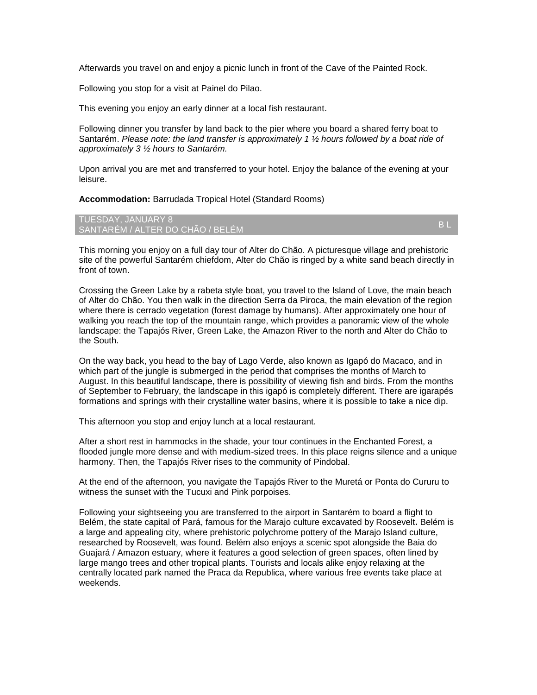Afterwards you travel on and enjoy a picnic lunch in front of the Cave of the Painted Rock.

Following you stop for a visit at Painel do Pilao.

This evening you enjoy an early dinner at a local fish restaurant.

Following dinner you transfer by land back to the pier where you board a shared ferry boat to Santarém. *Please note: the land transfer is approximately 1 ½ hours followed by a boat ride of approximately 3 ½ hours to Santarém.* 

Upon arrival you are met and transferred to your hotel. Enjoy the balance of the evening at your leisure.

**Accommodation:** Barrudada Tropical Hotel (Standard Rooms)

TUESDAY, JANUARY 8 TOESDAT, JANOANT 6<br>SANTARÉM / ALTER DO CHÃO / BELÉM B LE BELON B LE BELON B LE BELON B LE BELON B LE BELON B LE

This morning you enjoy on a full day tour of Alter do Chão. A picturesque village and prehistoric site of the powerful Santarém chiefdom, Alter do Chão is ringed by a white sand beach directly in front of town.

Crossing the Green Lake by a rabeta style boat, you travel to the Island of Love, the main beach of Alter do Chão. You then walk in the direction Serra da Piroca, the main elevation of the region where there is cerrado vegetation (forest damage by humans). After approximately one hour of walking you reach the top of the mountain range, which provides a panoramic view of the whole landscape: the Tapajós River, Green Lake, the Amazon River to the north and Alter do Chão to the South.

On the way back, you head to the bay of Lago Verde, also known as Igapó do Macaco, and in which part of the jungle is submerged in the period that comprises the months of March to August. In this beautiful landscape, there is possibility of viewing fish and birds. From the months of September to February, the landscape in this igapó is completely different. There are igarapés formations and springs with their crystalline water basins, where it is possible to take a nice dip.

This afternoon you stop and enjoy lunch at a local restaurant.

After a short rest in hammocks in the shade, your tour continues in the Enchanted Forest, a flooded jungle more dense and with medium-sized trees. In this place reigns silence and a unique harmony. Then, the Tapajós River rises to the community of Pindobal.

At the end of the afternoon, you navigate the Tapajós River to the Muretá or Ponta do Cururu to witness the sunset with the Tucuxi and Pink porpoises.

Following your sightseeing you are transferred to the airport in Santarém to board a flight to Belém, the state capital of Pará, famous for the Marajo culture excavated by Roosevelt**.** Belém is a large and appealing city, where prehistoric polychrome pottery of the Marajo Island culture, researched by Roosevelt, was found. Belém also enjoys a scenic spot alongside the Baia do Guajará / Amazon estuary, where it features a good selection of green spaces, often lined by large mango trees and other tropical plants. Tourists and locals alike enjoy relaxing at the centrally located park named the Praca da Republica, where various free events take place at weekends.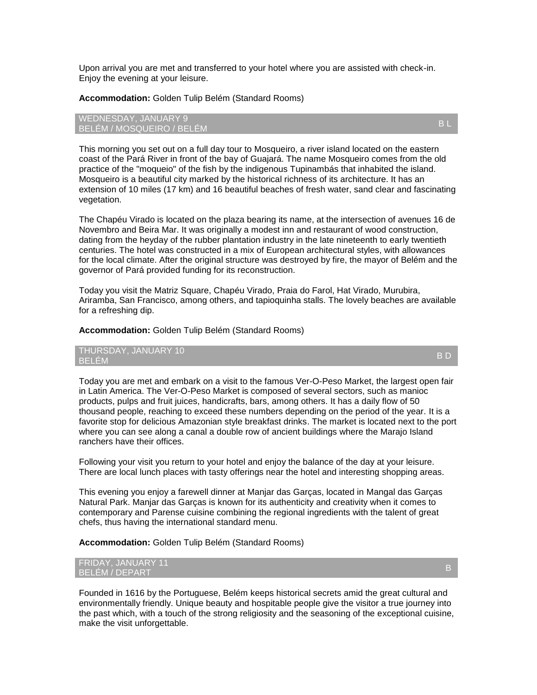Upon arrival you are met and transferred to your hotel where you are assisted with check-in. Enjoy the evening at your leisure.

**Accommodation:** Golden Tulip Belém (Standard Rooms)

#### WEDNESDAY, JANUARY 9 BELÉM / MOSQUEIRO / BELÉM B L

This morning you set out on a full day tour to Mosqueiro, a river island located on the eastern coast of the Pará River in front of the bay of Guajará. The name Mosqueiro comes from the old practice of the "moqueio" of the fish by the indigenous Tupinambás that inhabited the island. Mosqueiro is a beautiful city marked by the historical richness of its architecture. It has an extension of 10 miles (17 km) and 16 beautiful beaches of fresh water, sand clear and fascinating vegetation.

The Chapéu Virado is located on the plaza bearing its name, at the intersection of avenues 16 de Novembro and Beira Mar. It was originally a modest inn and restaurant of wood construction, dating from the heyday of the rubber plantation industry in the late nineteenth to early twentieth centuries. The hotel was constructed in a mix of European architectural styles, with allowances for the local climate. After the original structure was destroyed by fire, the mayor of Belém and the governor of Pará provided funding for its reconstruction.

Today you visit the Matriz Square, Chapéu Virado, Praia do Farol, Hat Virado, Murubira, Ariramba, San Francisco, among others, and tapioquinha stalls. The lovely beaches are available for a refreshing dip.

#### **Accommodation:** Golden Tulip Belém (Standard Rooms)

THURSDAY, JANUARY 10 A BELÉM DE LA BILITA DE LA BILITA DE LA BILITA DE LA BILITA DE LA BILITA DE LA BILITA DE LA BILITA DE LA BILIT<br>BELÉM

Today you are met and embark on a visit to the famous Ver-O-Peso Market, the largest open fair in Latin America. The Ver-O-Peso Market is composed of several sectors, such as manioc products, pulps and fruit juices, handicrafts, bars, among others. It has a daily flow of 50 thousand people, reaching to exceed these numbers depending on the period of the year. It is a favorite stop for delicious Amazonian style breakfast drinks. The market is located next to the port where you can see along a canal a double row of ancient buildings where the Marajo Island ranchers have their offices.

Following your visit you return to your hotel and enjoy the balance of the day at your leisure. There are local lunch places with tasty offerings near the hotel and interesting shopping areas.

This evening you enjoy a farewell dinner at Manjar das Garças, located in Mangal das Garças Natural Park. Manjar das Garças is known for its authenticity and creativity when it comes to contemporary and Parense cuisine combining the regional ingredients with the talent of great chefs, thus having the international standard menu.

**Accommodation:** Golden Tulip Belém (Standard Rooms)

#### FRIDAY, JANUARY 11 TRIBAT, SANGANT TITUL BERTAHUNG BELEMBERGAN DI BELEMBERGAN BERTAHUNG BELEMBERGAN BERTAHUNG BERTAHUNG BERTAHUNG<br>BELÉM / DEPART

Founded in 1616 by the Portuguese, Belém keeps historical secrets amid the great cultural and environmentally friendly. Unique beauty and hospitable people give the visitor a true journey into the past which, with a touch of the strong religiosity and the seasoning of the exceptional cuisine, make the visit unforgettable.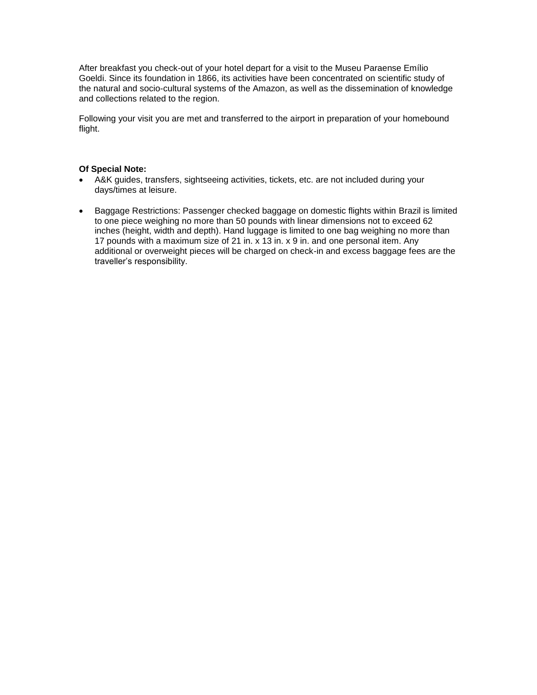After breakfast you check-out of your hotel depart for a visit to the Museu Paraense Emílio Goeldi. Since its foundation in 1866, its activities have been concentrated on scientific study of the natural and socio-cultural systems of the Amazon, as well as the dissemination of knowledge and collections related to the region.

Following your visit you are met and transferred to the airport in preparation of your homebound flight.

#### **Of Special Note:**

- A&K guides, transfers, sightseeing activities, tickets, etc. are not included during your days/times at leisure.
- Baggage Restrictions: Passenger checked baggage on domestic flights within Brazil is limited to one piece weighing no more than 50 pounds with linear dimensions not to exceed 62 inches (height, width and depth). Hand luggage is limited to one bag weighing no more than 17 pounds with a maximum size of 21 in. x 13 in. x 9 in. and one personal item. Any additional or overweight pieces will be charged on check-in and excess baggage fees are the traveller's responsibility.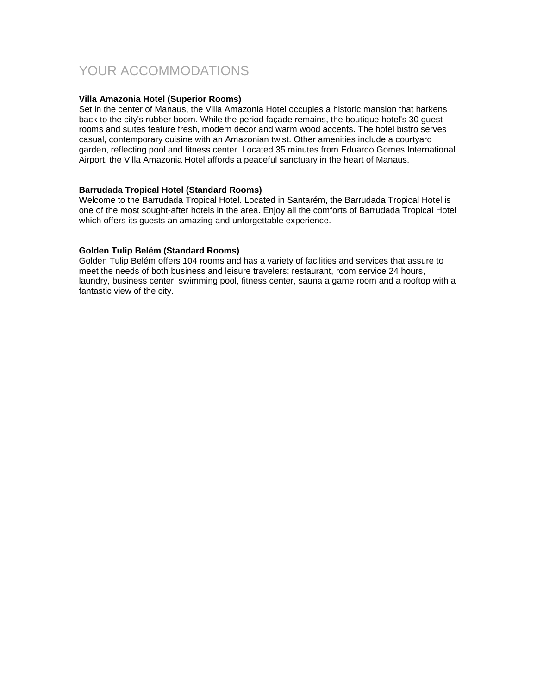# YOUR ACCOMMODATIONS

### **Villa Amazonia Hotel (Superior Rooms)**

Set in the center of Manaus, the Villa Amazonia Hotel occupies a historic mansion that harkens back to the city's rubber boom. While the period façade remains, the boutique hotel's 30 guest rooms and suites feature fresh, modern decor and warm wood accents. The hotel bistro serves casual, contemporary cuisine with an Amazonian twist. Other amenities include a courtyard garden, reflecting pool and fitness center. Located 35 minutes from Eduardo Gomes International Airport, the Villa Amazonia Hotel affords a peaceful sanctuary in the heart of Manaus.

#### **Barrudada Tropical Hotel (Standard Rooms)**

Welcome to the Barrudada Tropical Hotel. Located in Santarém, the Barrudada Tropical Hotel is one of the most sought-after hotels in the area. Enjoy all the comforts of Barrudada Tropical Hotel which offers its guests an amazing and unforgettable experience.

#### **Golden Tulip Belém (Standard Rooms)**

Golden Tulip Belém offers 104 rooms and has a variety of facilities and services that assure to meet the needs of both business and leisure travelers: restaurant, room service 24 hours, laundry, business center, swimming pool, fitness center, sauna a game room and a rooftop with a fantastic view of the city.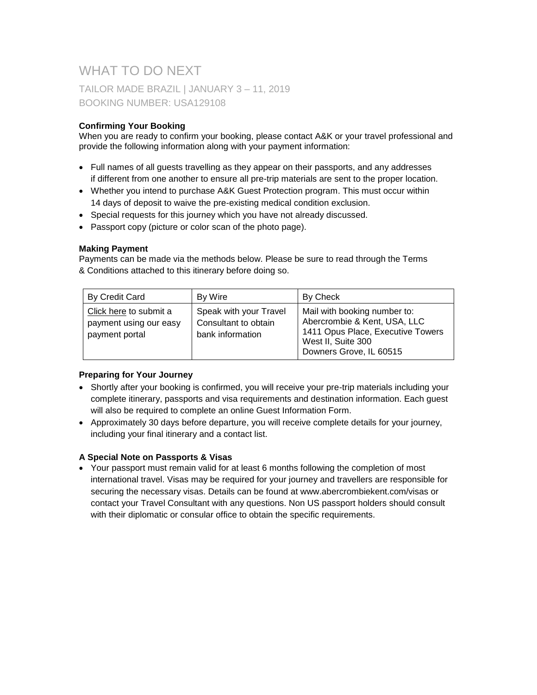# WHAT TO DO NEXT TAILOR MADE BRAZIL | JANUARY 3 – 11, 2019 BOOKING NUMBER: USA129108

# **Confirming Your Booking**

When you are ready to confirm your booking, please contact A&K or your travel professional and provide the following information along with your payment information:

- Full names of all guests travelling as they appear on their passports, and any addresses if different from one another to ensure all pre-trip materials are sent to the proper location.
- Whether you intend to purchase A&K Guest Protection program. This must occur within 14 days of deposit to waive the pre-existing medical condition exclusion.
- Special requests for this journey which you have not already discussed.
- Passport copy (picture or color scan of the photo page).

# **Making Payment**

Payments can be made via the methods below. Please be sure to read through the Terms & Conditions attached to this itinerary before doing so.

| By Credit Card                                                     | By Wire                                                            | By Check                                                                                                                                           |
|--------------------------------------------------------------------|--------------------------------------------------------------------|----------------------------------------------------------------------------------------------------------------------------------------------------|
| Click here to submit a<br>payment using our easy<br>payment portal | Speak with your Travel<br>Consultant to obtain<br>bank information | Mail with booking number to:<br>Abercrombie & Kent, USA, LLC<br>1411 Opus Place, Executive Towers<br>West II, Suite 300<br>Downers Grove, IL 60515 |

# **Preparing for Your Journey**

- Shortly after your booking is confirmed, you will receive your pre-trip materials including your complete itinerary, passports and visa requirements and destination information. Each guest will also be required to complete an online Guest Information Form.
- Approximately 30 days before departure, you will receive complete details for your journey, including your final itinerary and a contact list.

# **A Special Note on Passports & Visas**

 Your passport must remain valid for at least 6 months following the completion of most international travel. Visas may be required for your journey and travellers are responsible for securing the necessary visas. Details can be found at www.abercrombiekent.com/visas or contact your Travel Consultant with any questions. Non US passport holders should consult with their diplomatic or consular office to obtain the specific requirements.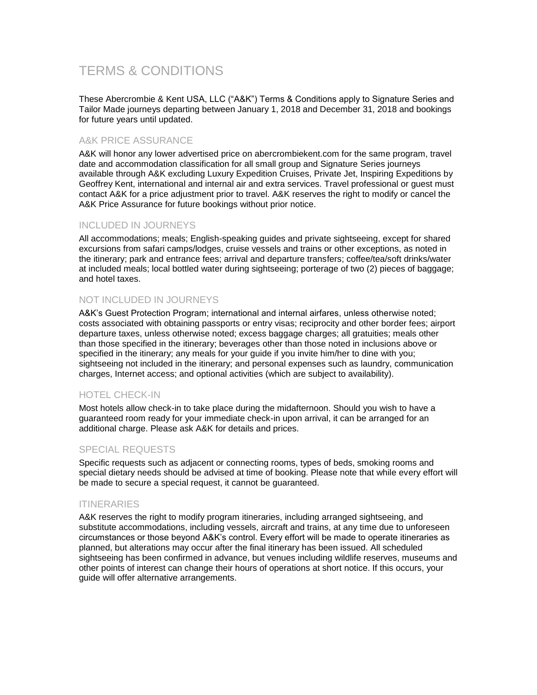# TERMS & CONDITIONS

These Abercrombie & Kent USA, LLC ("A&K") Terms & Conditions apply to Signature Series and Tailor Made journeys departing between January 1, 2018 and December 31, 2018 and bookings for future years until updated.

# A&K PRICE ASSURANCE

A&K will honor any lower advertised price on abercrombiekent.com for the same program, travel date and accommodation classification for all small group and Signature Series journeys available through A&K excluding Luxury Expedition Cruises, Private Jet, Inspiring Expeditions by Geoffrey Kent, international and internal air and extra services. Travel professional or guest must contact A&K for a price adjustment prior to travel. A&K reserves the right to modify or cancel the A&K Price Assurance for future bookings without prior notice.

# INCLUDED IN JOURNEYS

All accommodations; meals; English-speaking guides and private sightseeing, except for shared excursions from safari camps/lodges, cruise vessels and trains or other exceptions, as noted in the itinerary; park and entrance fees; arrival and departure transfers; coffee/tea/soft drinks/water at included meals; local bottled water during sightseeing; porterage of two (2) pieces of baggage; and hotel taxes.

# NOT INCLUDED IN JOURNEYS

A&K's Guest Protection Program; international and internal airfares, unless otherwise noted; costs associated with obtaining passports or entry visas; reciprocity and other border fees; airport departure taxes, unless otherwise noted; excess baggage charges; all gratuities; meals other than those specified in the itinerary; beverages other than those noted in inclusions above or specified in the itinerary; any meals for your guide if you invite him/her to dine with you; sightseeing not included in the itinerary; and personal expenses such as laundry, communication charges, Internet access; and optional activities (which are subject to availability).

# HOTEL CHECK-IN

Most hotels allow check-in to take place during the midafternoon. Should you wish to have a guaranteed room ready for your immediate check-in upon arrival, it can be arranged for an additional charge. Please ask A&K for details and prices.

# SPECIAL REQUESTS

Specific requests such as adjacent or connecting rooms, types of beds, smoking rooms and special dietary needs should be advised at time of booking. Please note that while every effort will be made to secure a special request, it cannot be guaranteed.

# ITINERARIES

A&K reserves the right to modify program itineraries, including arranged sightseeing, and substitute accommodations, including vessels, aircraft and trains, at any time due to unforeseen circumstances or those beyond A&K's control. Every effort will be made to operate itineraries as planned, but alterations may occur after the final itinerary has been issued. All scheduled sightseeing has been confirmed in advance, but venues including wildlife reserves, museums and other points of interest can change their hours of operations at short notice. If this occurs, your guide will offer alternative arrangements.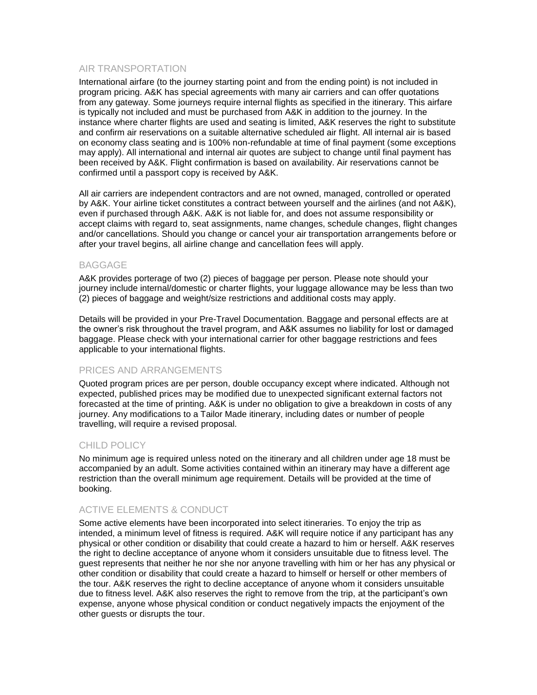# AIR TRANSPORTATION

International airfare (to the journey starting point and from the ending point) is not included in program pricing. A&K has special agreements with many air carriers and can offer quotations from any gateway. Some journeys require internal flights as specified in the itinerary. This airfare is typically not included and must be purchased from A&K in addition to the journey. In the instance where charter flights are used and seating is limited, A&K reserves the right to substitute and confirm air reservations on a suitable alternative scheduled air flight. All internal air is based on economy class seating and is 100% non-refundable at time of final payment (some exceptions may apply). All international and internal air quotes are subject to change until final payment has been received by A&K. Flight confirmation is based on availability. Air reservations cannot be confirmed until a passport copy is received by A&K.

All air carriers are independent contractors and are not owned, managed, controlled or operated by A&K. Your airline ticket constitutes a contract between yourself and the airlines (and not A&K), even if purchased through A&K. A&K is not liable for, and does not assume responsibility or accept claims with regard to, seat assignments, name changes, schedule changes, flight changes and/or cancellations. Should you change or cancel your air transportation arrangements before or after your travel begins, all airline change and cancellation fees will apply.

# BAGGAGE

A&K provides porterage of two (2) pieces of baggage per person. Please note should your journey include internal/domestic or charter flights, your luggage allowance may be less than two (2) pieces of baggage and weight/size restrictions and additional costs may apply.

Details will be provided in your Pre-Travel Documentation. Baggage and personal effects are at the owner's risk throughout the travel program, and A&K assumes no liability for lost or damaged baggage. Please check with your international carrier for other baggage restrictions and fees applicable to your international flights.

# PRICES AND ARRANGEMENTS

Quoted program prices are per person, double occupancy except where indicated. Although not expected, published prices may be modified due to unexpected significant external factors not forecasted at the time of printing. A&K is under no obligation to give a breakdown in costs of any journey. Any modifications to a Tailor Made itinerary, including dates or number of people travelling, will require a revised proposal.

# CHILD POLICY

No minimum age is required unless noted on the itinerary and all children under age 18 must be accompanied by an adult. Some activities contained within an itinerary may have a different age restriction than the overall minimum age requirement. Details will be provided at the time of booking.

# ACTIVE ELEMENTS & CONDUCT

Some active elements have been incorporated into select itineraries. To enjoy the trip as intended, a minimum level of fitness is required. A&K will require notice if any participant has any physical or other condition or disability that could create a hazard to him or herself. A&K reserves the right to decline acceptance of anyone whom it considers unsuitable due to fitness level. The guest represents that neither he nor she nor anyone travelling with him or her has any physical or other condition or disability that could create a hazard to himself or herself or other members of the tour. A&K reserves the right to decline acceptance of anyone whom it considers unsuitable due to fitness level. A&K also reserves the right to remove from the trip, at the participant's own expense, anyone whose physical condition or conduct negatively impacts the enjoyment of the other guests or disrupts the tour.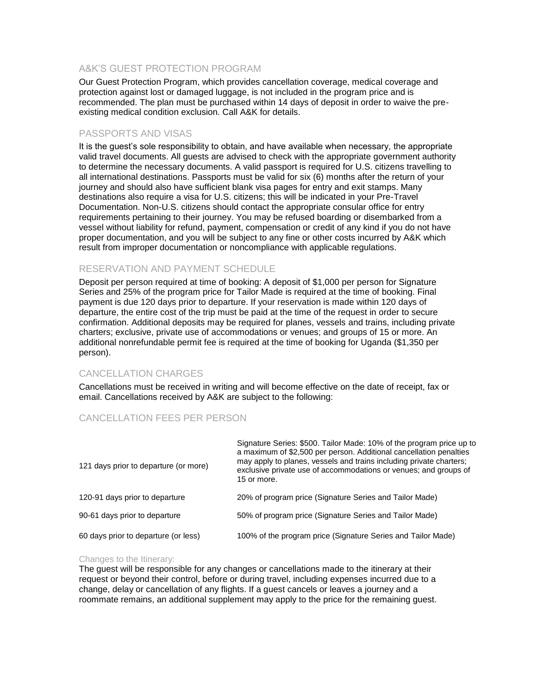# A&K'S GUEST PROTECTION PROGRAM

Our Guest Protection Program, which provides cancellation coverage, medical coverage and protection against lost or damaged luggage, is not included in the program price and is recommended. The plan must be purchased within 14 days of deposit in order to waive the preexisting medical condition exclusion. Call A&K for details.

### PASSPORTS AND VISAS

It is the guest's sole responsibility to obtain, and have available when necessary, the appropriate valid travel documents. All guests are advised to check with the appropriate government authority to determine the necessary documents. A valid passport is required for U.S. citizens travelling to all international destinations. Passports must be valid for six (6) months after the return of your journey and should also have sufficient blank visa pages for entry and exit stamps. Many destinations also require a visa for U.S. citizens; this will be indicated in your Pre-Travel Documentation. Non-U.S. citizens should contact the appropriate consular office for entry requirements pertaining to their journey. You may be refused boarding or disembarked from a vessel without liability for refund, payment, compensation or credit of any kind if you do not have proper documentation, and you will be subject to any fine or other costs incurred by A&K which result from improper documentation or noncompliance with applicable regulations.

# RESERVATION AND PAYMENT SCHEDULE

Deposit per person required at time of booking: A deposit of \$1,000 per person for Signature Series and 25% of the program price for Tailor Made is required at the time of booking. Final payment is due 120 days prior to departure. If your reservation is made within 120 days of departure, the entire cost of the trip must be paid at the time of the request in order to secure confirmation. Additional deposits may be required for planes, vessels and trains, including private charters; exclusive, private use of accommodations or venues; and groups of 15 or more. An additional nonrefundable permit fee is required at the time of booking for Uganda (\$1,350 per person).

# CANCELLATION CHARGES

Cancellations must be received in writing and will become effective on the date of receipt, fax or email. Cancellations received by A&K are subject to the following:

# CANCELLATION FEES PER PERSON

| 121 days prior to departure (or more) | Signature Series: \$500. Tailor Made: 10% of the program price up to<br>a maximum of \$2,500 per person. Additional cancellation penalties<br>may apply to planes, vessels and trains including private charters;<br>exclusive private use of accommodations or venues; and groups of<br>15 or more. |
|---------------------------------------|------------------------------------------------------------------------------------------------------------------------------------------------------------------------------------------------------------------------------------------------------------------------------------------------------|
| 120-91 days prior to departure        | 20% of program price (Signature Series and Tailor Made)                                                                                                                                                                                                                                              |
| 90-61 days prior to departure         | 50% of program price (Signature Series and Tailor Made)                                                                                                                                                                                                                                              |
| 60 days prior to departure (or less)  | 100% of the program price (Signature Series and Tailor Made)                                                                                                                                                                                                                                         |

#### Changes to the Itinerary:

The guest will be responsible for any changes or cancellations made to the itinerary at their request or beyond their control, before or during travel, including expenses incurred due to a change, delay or cancellation of any flights. If a guest cancels or leaves a journey and a roommate remains, an additional supplement may apply to the price for the remaining guest.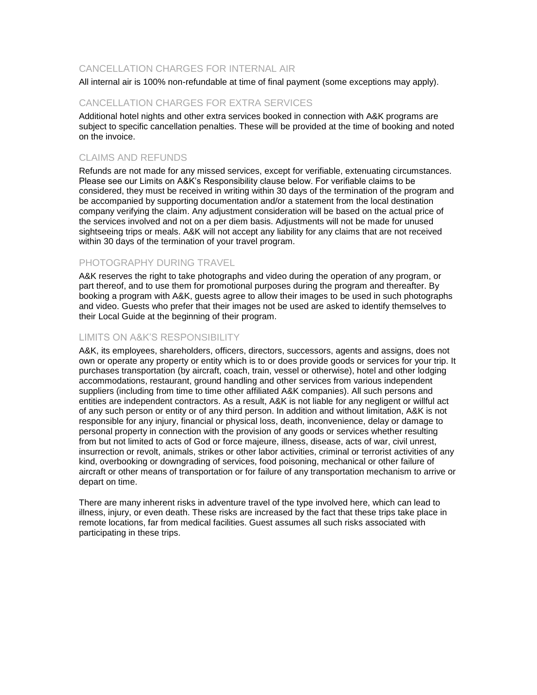# CANCELLATION CHARGES FOR INTERNAL AIR

All internal air is 100% non-refundable at time of final payment (some exceptions may apply).

#### CANCELLATION CHARGES FOR EXTRA SERVICES

Additional hotel nights and other extra services booked in connection with A&K programs are subject to specific cancellation penalties. These will be provided at the time of booking and noted on the invoice.

### CLAIMS AND REFUNDS

Refunds are not made for any missed services, except for verifiable, extenuating circumstances. Please see our Limits on A&K's Responsibility clause below. For verifiable claims to be considered, they must be received in writing within 30 days of the termination of the program and be accompanied by supporting documentation and/or a statement from the local destination company verifying the claim. Any adjustment consideration will be based on the actual price of the services involved and not on a per diem basis. Adjustments will not be made for unused sightseeing trips or meals. A&K will not accept any liability for any claims that are not received within 30 days of the termination of your travel program.

#### PHOTOGRAPHY DURING TRAVEL

A&K reserves the right to take photographs and video during the operation of any program, or part thereof, and to use them for promotional purposes during the program and thereafter. By booking a program with A&K, guests agree to allow their images to be used in such photographs and video. Guests who prefer that their images not be used are asked to identify themselves to their Local Guide at the beginning of their program.

### LIMITS ON A&K'S RESPONSIBILITY

A&K, its employees, shareholders, officers, directors, successors, agents and assigns, does not own or operate any property or entity which is to or does provide goods or services for your trip. It purchases transportation (by aircraft, coach, train, vessel or otherwise), hotel and other lodging accommodations, restaurant, ground handling and other services from various independent suppliers (including from time to time other affiliated A&K companies). All such persons and entities are independent contractors. As a result, A&K is not liable for any negligent or willful act of any such person or entity or of any third person. In addition and without limitation, A&K is not responsible for any injury, financial or physical loss, death, inconvenience, delay or damage to personal property in connection with the provision of any goods or services whether resulting from but not limited to acts of God or force majeure, illness, disease, acts of war, civil unrest, insurrection or revolt, animals, strikes or other labor activities, criminal or terrorist activities of any kind, overbooking or downgrading of services, food poisoning, mechanical or other failure of aircraft or other means of transportation or for failure of any transportation mechanism to arrive or depart on time.

There are many inherent risks in adventure travel of the type involved here, which can lead to illness, injury, or even death. These risks are increased by the fact that these trips take place in remote locations, far from medical facilities. Guest assumes all such risks associated with participating in these trips.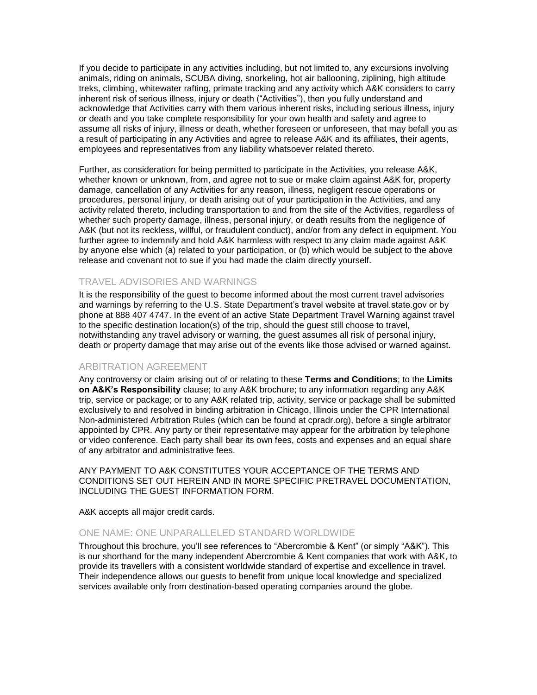If you decide to participate in any activities including, but not limited to, any excursions involving animals, riding on animals, SCUBA diving, snorkeling, hot air ballooning, ziplining, high altitude treks, climbing, whitewater rafting, primate tracking and any activity which A&K considers to carry inherent risk of serious illness, injury or death ("Activities"), then you fully understand and acknowledge that Activities carry with them various inherent risks, including serious illness, injury or death and you take complete responsibility for your own health and safety and agree to assume all risks of injury, illness or death, whether foreseen or unforeseen, that may befall you as a result of participating in any Activities and agree to release A&K and its affiliates, their agents, employees and representatives from any liability whatsoever related thereto.

Further, as consideration for being permitted to participate in the Activities, you release A&K, whether known or unknown, from, and agree not to sue or make claim against A&K for, property damage, cancellation of any Activities for any reason, illness, negligent rescue operations or procedures, personal injury, or death arising out of your participation in the Activities, and any activity related thereto, including transportation to and from the site of the Activities, regardless of whether such property damage, illness, personal injury, or death results from the negligence of A&K (but not its reckless, willful, or fraudulent conduct), and/or from any defect in equipment. You further agree to indemnify and hold A&K harmless with respect to any claim made against A&K by anyone else which (a) related to your participation, or (b) which would be subject to the above release and covenant not to sue if you had made the claim directly yourself.

# TRAVEL ADVISORIES AND WARNINGS

It is the responsibility of the guest to become informed about the most current travel advisories and warnings by referring to the U.S. State Department's travel website at travel.state.gov or by phone at 888 407 4747. In the event of an active State Department Travel Warning against travel to the specific destination location(s) of the trip, should the guest still choose to travel, notwithstanding any travel advisory or warning, the guest assumes all risk of personal injury, death or property damage that may arise out of the events like those advised or warned against.

### ARBITRATION AGREEMENT

Any controversy or claim arising out of or relating to these **Terms and Conditions**; to the **Limits on A&K's Responsibility** clause; to any A&K brochure; to any information regarding any A&K trip, service or package; or to any A&K related trip, activity, service or package shall be submitted exclusively to and resolved in binding arbitration in Chicago, Illinois under the CPR International Non-administered Arbitration Rules (which can be found at cpradr.org), before a single arbitrator appointed by CPR. Any party or their representative may appear for the arbitration by telephone or video conference. Each party shall bear its own fees, costs and expenses and an equal share of any arbitrator and administrative fees.

ANY PAYMENT TO A&K CONSTITUTES YOUR ACCEPTANCE OF THE TERMS AND CONDITIONS SET OUT HEREIN AND IN MORE SPECIFIC PRETRAVEL DOCUMENTATION, INCLUDING THE GUEST INFORMATION FORM.

A&K accepts all major credit cards.

# ONE NAME: ONE UNPARALLELED STANDARD WORLDWIDE

Throughout this brochure, you'll see references to "Abercrombie & Kent" (or simply "A&K"). This is our shorthand for the many independent Abercrombie & Kent companies that work with A&K, to provide its travellers with a consistent worldwide standard of expertise and excellence in travel. Their independence allows our guests to benefit from unique local knowledge and specialized services available only from destination-based operating companies around the globe.